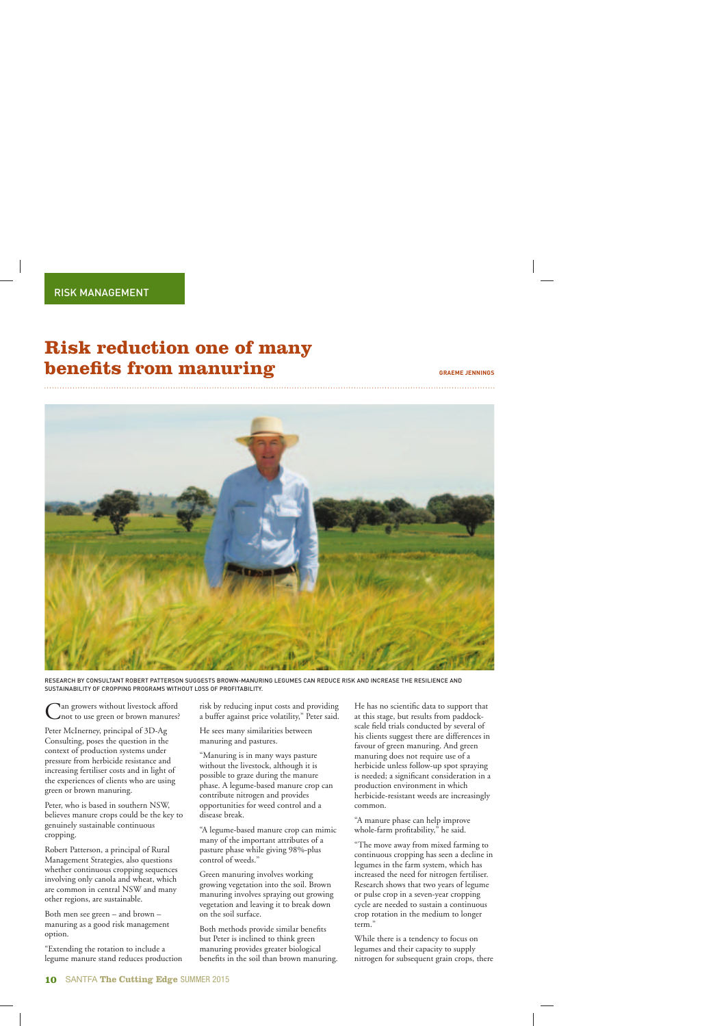## **Risk reduction one of many benefits from manuring** GRAEME JENNINGS



RESEARCH BY CONSULTANT ROBERT PATTERSON SUGGESTS BROWN-MANURING LEGUMES CAN REDUCE RISK AND INCREASE THE RESILIENCE AND SUSTAINABILITY OF CROPPING PROGRAMS WITHOUT LOSS OF PROFITABILITY.

Can growers without livestock afford not to use green or brown manures?

Peter McInerney, principal of 3D-Ag Consulting, poses the question in the context of production systems under pressure from herbicide resistance and increasing fertiliser costs and in light of the experiences of clients who are using green or brown manuring.

Peter, who is based in southern NSW, believes manure crops could be the key to genuinely sustainable continuous cropping.

Robert Patterson, a principal of Rural Management Strategies, also questions whether continuous cropping sequences involving only canola and wheat, which are common in central NSW and many other regions, are sustainable.

Both men see green – and brown – manuring as a good risk management option.

"Extending the rotation to include a legume manure stand reduces production risk by reducing input costs and providing a buffer against price volatility," Peter said.

He sees many similarities between manuring and pastures.

"Manuring is in many ways pasture without the livestock, although it is possible to graze during the manure phase. A legume-based manure crop can contribute nitrogen and provides opportunities for weed control and a disease break.

"A legume-based manure crop can mimic many of the important attributes of a pasture phase while giving 98%-plus control of weeds."

Green manuring involves working growing vegetation into the soil. Brown manuring involves spraying out growing vegetation and leaving it to break down on the soil surface.

Both methods provide similar benefits but Peter is inclined to think green manuring provides greater biological benefits in the soil than brown manuring. He has no scientific data to support that at this stage, but results from paddockscale field trials conducted by several of his clients suggest there are differences in favour of green manuring. And green manuring does not require use of a herbicide unless follow-up spot spraying is needed; a significant consideration in a production environment in which herbicide-resistant weeds are increasingly common.

"A manure phase can help improve whole-farm profitability," he said.

"The move away from mixed farming to continuous cropping has seen a decline in legumes in the farm system, which has increased the need for nitrogen fertiliser. Research shows that two years of legume or pulse crop in a seven-year cropping cycle are needed to sustain a continuous crop rotation in the medium to longer term."

While there is a tendency to focus on legumes and their capacity to supply nitrogen for subsequent grain crops, there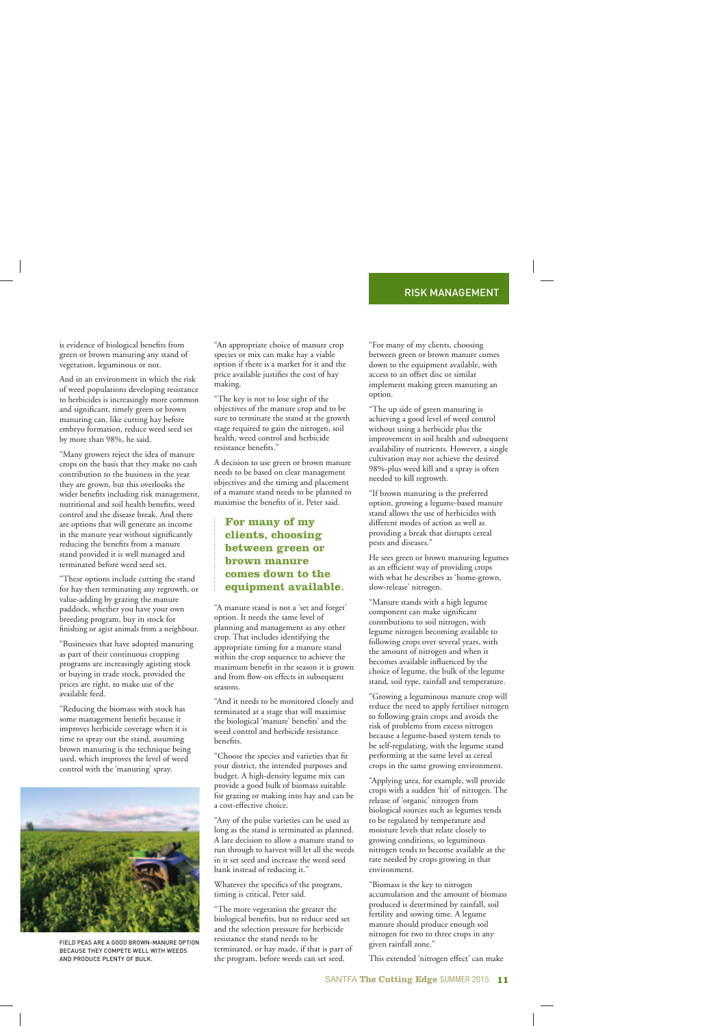is evidence of biological benefits from green or brown manuring any stand of vegetation, leguminous or not.

And in an environment in which the risk of weed populations developing resistance to herbicides is increasingly more common and significant, timely green or brown manuring can, like cutting hay before embryo formation, reduce weed seed set by more than 98%, he said.

"Many growers reject the idea of manure crops on the basis that they make no cash contribution to the business in the year they are grown, but this overlooks the wider benefits including risk management, nutritional and soil health benefits, weed control and the disease break. And there are options that will generate an income in the manure year without significantly reducing the benefits from a manure stand provided it is well managed and terminated before weed seed set.

"These options include cutting the stand for hay then terminating any regrowth, or value-adding by grazing the manure paddock, whether you have your own breeding program, buy in stock for finishing or agist animals from a neighbour.

"Businesses that have adopted manuring as part of their continuous cropping programs are increasingly agisting stock or buying in trade stock, provided the prices are right, to make use of the available feed.

"Reducing the biomass with stock has some management benefit because it improves herbicide coverage when it is time to spray out the stand, assuming brown manuring is the technique being used, which improves the level of weed control with the 'manuring' spray.



FIELD PEAS ARE A GOOD BROWN-MANURE OPTION BECAUSE THEY COMPETE WELL WITH WEEDS AND PRODUCE PLENTY OF BULK.

"An appropriate choice of manure crop species or mix can make hay a viable option if there is a market for it and the price available justifies the cost of hay making.

"The key is not to lose sight of the objectives of the manure crop and to be sure to terminate the stand at the growth stage required to gain the nitrogen, soil health, weed control and herbicide resistance benefits."

A decision to use green or brown manure needs to be based on clear management objectives and the timing and placement of a manure stand needs to be planned to maximise the benefits of it, Peter said.

## **For many of my clients, choosing between green or brown manure comes down to the equipment available.**

"A manure stand is not a 'set and forget' option. It needs the same level of planning and management as any other crop. That includes identifying the appropriate timing for a manure stand within the crop sequence to achieve the maximum benefit in the season it is grown and from flow-on effects in subsequent seasons.

"And it needs to be monitored closely and terminated at a stage that will maximise the biological 'manure' benefits' and the weed control and herbicide resistance benefits.

"Choose the species and varieties that fit your district, the intended purposes and budget. A high-density legume mix can provide a good bulk of biomass suitable for grazing or making into hay and can be a cost-effective choice.

"Any of the pulse varieties can be used as long as the stand is terminated as planned. A late decision to allow a manure stand to run through to harvest will let all the weeds in it set seed and increase the weed seed bank instead of reducing it."

Whatever the specifics of the program, timing is critical, Peter said.

"The more vegetation the greater the biological benefits, but to reduce seed set and the selection pressure for herbicide resistance the stand needs to be terminated, or hay made, if that is part of the program, before weeds can set seed.

"For many of my clients, choosing between green or brown manure comes down to the equipment available, with access to an offset disc or similar implement making green manuring an option.

"The up side of green manuring is achieving a good level of weed control without using a herbicide plus the improvement in soil health and subsequent availability of nutrients. However, a single cultivation may not achieve the desired 98%-plus weed kill and a spray is often needed to kill regrowth.

"If brown manuring is the preferred option, growing a legume-based manure stand allows the use of herbicides with different modes of action as well as providing a break that disrupts cereal pests and diseases."

He sees green or brown manuring legumes as an efficient way of providing crops with what he describes as 'home-grown, slow-release' nitrogen.

"Manure stands with a high legume component can make significant contributions to soil nitrogen, with legume nitrogen becoming available to following crops over several years, with the amount of nitrogen and when it becomes available influenced by the choice of legume, the bulk of the legume stand, soil type, rainfall and temperature.

"Growing a leguminous manure crop will reduce the need to apply fertiliser nitrogen to following grain crops and avoids the risk of problems from excess nitrogen because a legume-based system tends to be self-regulating, with the legume stand performing at the same level as cereal crops in the same growing environment.

"Applying urea, for example, will provide crops with a sudden 'hit' of nitrogen. The release of 'organic' nitrogen from biological sources such as legumes tends to be regulated by temperature and moisture levels that relate closely to growing conditions, so leguminous nitrogen tends to become available at the rate needed by crops growing in that environment.

"Biomass is the key to nitrogen accumulation and the amount of biomass produced is determined by rainfall, soil fertility and sowing time. A legume manure should produce enough soil nitrogen for two to three crops in any given rainfall zone."

This extended 'nitrogen effect' can make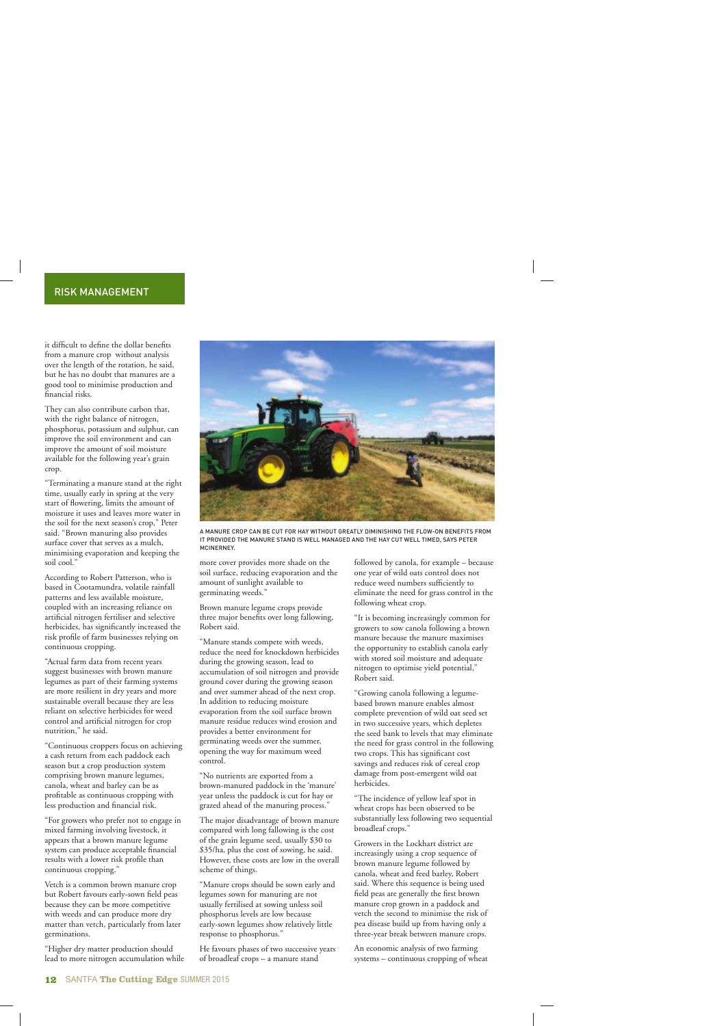it difficult to define the dollar benefits from a manure crop without analysis over the length of the rotation, he said, but he has no doubt that manures are a good tool to minimise production and financial risks.

They can also contribute carbon that, with the right balance of nitrogen, phosphorus, potassium and sulphur, can improve the soil environment and can improve the amount of soil moisture available for the following year's grain crop.

"Terminating a manure stand at the right time, usually early in spring at the very start of flowering, limits the amount of moisture it uses and leaves more water in the soil for the next season's crop," Peter said. "Brown manuring also provides surface cover that serves as a mulch, minimising evaporation and keeping the soil cool."

According to Robert Patterson, who is based in Cootamundra, volatile rainfall patterns and less available moisture, coupled with an increasing reliance on artificial nitrogen fertiliser and selective herbicides, has significantly increased the risk profile of farm businesses relying on continuous cropping.

"Actual farm data from recent years suggest businesses with brown manure legumes as part of their farming systems are more resilient in dry years and more sustainable overall because they are less reliant on selective herbicides for weed control and artificial nitrogen for crop nutrition," he said.

"Continuous croppers focus on achieving a cash return from each paddock each season but a crop production system comprising brown manure legumes, canola, wheat and barley can be as profitable as continuous cropping with less production and financial risk.

"For growers who prefer not to engage in mixed farming involving livestock, it appears that a brown manure legume system can produce acceptable financial results with a lower risk profile than continuous cropping."

Vetch is a common brown manure crop but Robert favours early-sown field peas because they can be more competitive with weeds and can produce more dry matter than vetch, particularly from later germinations.

"Higher dry matter production should lead to more nitrogen accumulation while

![](_page_2_Picture_10.jpeg)

A MANURE CROP CAN BE CUT FOR HAY WITHOUT GREATLY DIMINISHING THE FLOW-ON BENEFITS FROM IT PROVIDED THE MANURE STAND IS WELL MANAGED AND THE HAY CUT WELL TIMED, SAYS PETER MCINERNEY.

more cover provides more shade on the soil surface, reducing evaporation and the amount of sunlight available to germinating weeds."

Brown manure legume crops provide three major benefits over long fallowing, Robert said.

"Manure stands compete with weeds, reduce the need for knockdown herbicides during the growing season, lead to accumulation of soil nitrogen and provide ground cover during the growing season and over summer ahead of the next crop. In addition to reducing moisture evaporation from the soil surface brown manure residue reduces wind erosion and provides a better environment for germinating weeds over the summer, opening the way for maximum weed control.

"No nutrients are exported from a brown-manured paddock in the 'manure' year unless the paddock is cut for hay or grazed ahead of the manuring process."

The major disadvantage of brown manure compared with long fallowing is the cost of the grain legume seed, usually \$30 to \$35/ha, plus the cost of sowing, he said. However, these costs are low in the overall scheme of things.

"Manure crops should be sown early and legumes sown for manuring are not usually fertilised at sowing unless soil phosphorus levels are low because early-sown legumes show relatively little response to phosphorus."

He favours phases of two successive years of broadleaf crops – a manure stand

followed by canola, for example – because one year of wild oats control does not reduce weed numbers sufficiently to eliminate the need for grass control in the following wheat crop.

"It is becoming increasingly common for growers to sow canola following a brown manure because the manure maximises the opportunity to establish canola early with stored soil moisture and adequate nitrogen to optimise yield potential," Robert said.

"Growing canola following a legumebased brown manure enables almost complete prevention of wild oat seed set in two successive years, which depletes the seed bank to levels that may eliminate the need for grass control in the following two crops. This has significant cost savings and reduces risk of cereal crop damage from post-emergent wild oat herbicides.

"The incidence of yellow leaf spot in wheat crops has been observed to be substantially less following two sequential broadleaf crops."

Growers in the Lockhart district are increasingly using a crop sequence of brown manure legume followed by canola, wheat and feed barley, Robert said. Where this sequence is being used field peas are generally the first brown manure crop grown in a paddock and vetch the second to minimise the risk of pea disease build up from having only a three-year break between manure crops.

An economic analysis of two farming systems – continuous cropping of wheat